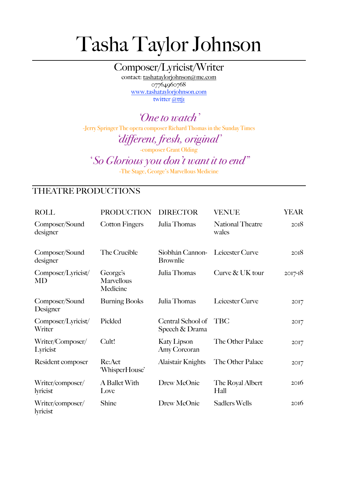## Tasha Taylor Johnson

Composer/Lyricist/Writer contact: [tashataylorjohnson@me.com](mailto:tashataylorjohnson@me.com) 07764960768

[www.tashataylorjohnson.com](http://www.tashataylorjohnson.com) twitter @ttji

*'One to watch'* -Jerry Springer The opera composer Richard Thomas in the Sunday Times

*'different, fresh, original'* 

-composer Grant Olding

*' So Glorious you don't want it to end"* 

-The Stage, George's Marvellous Medicine

## THEATRE PRODUCTIONS

| <b>ROLL</b>                     | <b>PRODUCTION</b>                  | <b>DIRECTOR</b>                     | VENUE                            | <b>YEAR</b> |
|---------------------------------|------------------------------------|-------------------------------------|----------------------------------|-------------|
| Composer/Sound<br>designer      | <b>Cotton Fingers</b>              | Julia Thomas                        | <b>National Theatre</b><br>wales | 2OI8        |
| Composer/Sound<br>designer      | The Crucible                       | Siobhán Cannon-<br><b>Brownlie</b>  | Leicester Curve                  | 2OI8        |
| Composer/Lyricist/<br><b>MD</b> | George's<br>Marvellous<br>Medicine | Julia Thomas                        | Curve & UK tour                  | $2017 - 18$ |
| Composer/Sound<br>Designer      | <b>Burning Books</b>               | Julia Thomas                        | Leicester Curve                  | 2017        |
| Composer/Lyricist/<br>Writer    | Pickled                            | Central School of<br>Speech & Drama | <b>TBC</b>                       | 2017        |
| Writer/Composer/<br>Lyricist    | Cult!                              | <b>Katy Lipson</b><br>Amy Corcoran  | The Other Palace                 | 2017        |
| Resident composer               | Re:Act<br>'WhisperHouse'           | Alaistair Knights                   | The Other Palace                 | 2017        |
| Writer/composer/<br>lyricist    | A Ballet With<br>Love              | Drew McOnie                         | The Royal Albert<br>Hall         | 2016        |
| Writer/composer/<br>lyricist    | Shine                              | Drew McOnie                         | <b>Sadlers Wells</b>             | 20I6        |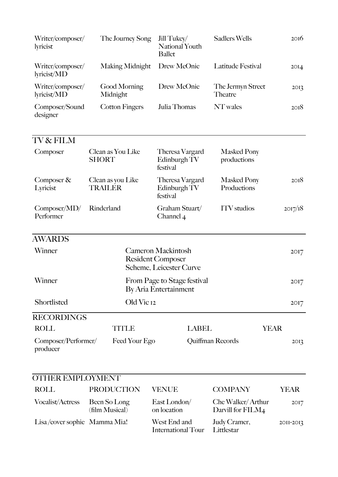| Writer/composer/<br>lyricist    | The Journey Song                    | Jill Tukey/<br><b>National Youth</b><br><b>Ballet</b>                            | <b>Sadlers Wells</b>                   | 20I6             |
|---------------------------------|-------------------------------------|----------------------------------------------------------------------------------|----------------------------------------|------------------|
| Writer/composer/<br>lyricist/MD | <b>Making Midnight</b>              | Drew McOnie                                                                      | Latitude Festival                      | 2OI <sub>4</sub> |
| Writer/composer/<br>lyricist/MD | Good Morning<br>Midnight            | Drew McOnie                                                                      | The Jermyn Street<br>Theatre           | 2O <sub>13</sub> |
| Composer/Sound<br>designer      | <b>Cotton Fingers</b>               | Julia Thomas                                                                     | NT wales                               | 2OI8             |
| TV & FILM                       |                                     |                                                                                  |                                        |                  |
| Composer                        | Clean as You Like<br><b>SHORT</b>   | Theresa Vargard<br>Edinburgh TV<br>festival                                      | <b>Masked Pony</b><br>productions      |                  |
| Composer $\&$<br>Lyricist       | Clean as you Like<br><b>TRAILER</b> | Theresa Vargard<br>Edinburgh TV<br>festival                                      | <b>Masked Pony</b><br>Productions      | 20I8             |
| Composer/MD/<br>Performer       | Rinderland                          | Graham Stuart/<br>Channel 4                                                      | <b>ITV</b> studios                     | 2017/18          |
| <b>AWARDS</b>                   |                                     |                                                                                  |                                        |                  |
| Winner                          |                                     | <b>Cameron Mackintosh</b><br><b>Resident Composer</b><br>Scheme, Leicester Curve |                                        | 2017             |
| Winner                          |                                     | From Page to Stage festival<br>By Aria Entertainment                             |                                        | 20I7             |
| Shortlisted                     | Old Vic 12                          |                                                                                  |                                        | 2OI7             |
| <b>RECORDINGS</b>               |                                     |                                                                                  |                                        |                  |
| <b>ROLL</b>                     | <b>TITLE</b>                        | <b>LABEL</b>                                                                     |                                        | <b>YEAR</b>      |
| Composer/Performer/<br>producer | Feed Your Ego                       |                                                                                  | Quiffman Records                       | 2OI <sub>3</sub> |
|                                 |                                     |                                                                                  |                                        |                  |
| <b>OTHER EMPLOYMENT</b>         |                                     |                                                                                  |                                        |                  |
| <b>ROLL</b>                     | <b>PRODUCTION</b>                   | <b>VENUE</b>                                                                     | <b>COMPANY</b>                         | <b>YEAR</b>      |
| <b>Vocalist/Actress</b>         | Been So Long<br>(film Musical)      | East London/<br>on location                                                      | Che Walker/Arthur<br>Darvill for FILM4 | 2017             |
| Lisa/cover sophie Mamma Mia!    |                                     | West End and<br><b>International Tour</b>                                        | Judy Cramer,<br>Littlestar             | 2011-2013        |